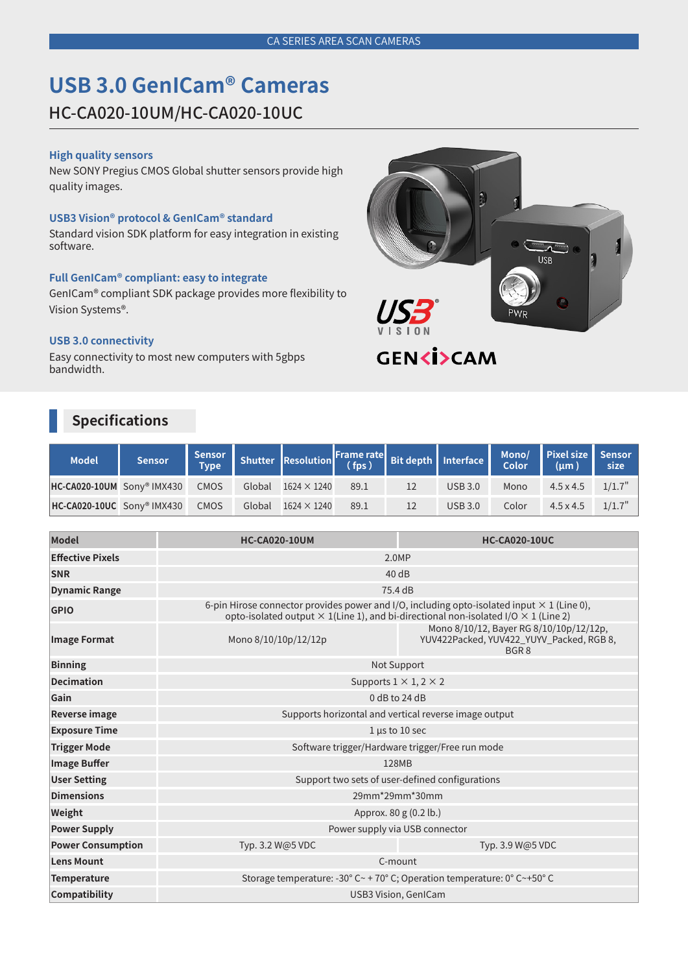# **USB 3.0 GenICam® Cameras**

HC-CA020-10UM/HC-CA020-10UC

### **High quality sensors**

New SONY Pregius CMOS Global shutter sensors provide high quality images.

### **USB3 Vision® protocol & GenICam® standard**

Standard vision SDK platform for easy integration in existing software.

### **Full GenICam® compliant: easy to integrate**

GenICam® compliant SDK package provides more flexibility to Vision Systems®.

### **USB 3.0 connectivity**

Easy connectivity to most new computers with 5gbps bandwidth.

## **Specifications**

| <b>Model</b>                                | Sensor |  | Sensor Shutter Resolution Frame rate Bit depth Interface Mono/ Pixel size Sensor |      |                |       |                  |           |
|---------------------------------------------|--------|--|----------------------------------------------------------------------------------|------|----------------|-------|------------------|-----------|
| HC-CA020-10UM Sony <sup>®</sup> IMX430 CMOS |        |  | Global $1624 \times 1240$                                                        | 89.1 | USB 3.0        | Mono  | $4.5 \times 4.5$ | $1/1.7$ " |
| HC-CA020-10UC Sony <sup>®</sup> IMX430 CMOS |        |  | Global $1624 \times 1240$                                                        | 89.1 | <b>USB 3.0</b> | Color | $4.5 \times 4.5$ | $1/1.7$ " |

| <b>Model</b>             | <b>HC-CA020-10UM</b>                                                                                                                                                                                  | <b>HC-CA020-10UC</b>                                                                                    |  |  |  |  |  |  |
|--------------------------|-------------------------------------------------------------------------------------------------------------------------------------------------------------------------------------------------------|---------------------------------------------------------------------------------------------------------|--|--|--|--|--|--|
| <b>Effective Pixels</b>  | 2.0MP                                                                                                                                                                                                 |                                                                                                         |  |  |  |  |  |  |
| <b>SNR</b>               | 40dB                                                                                                                                                                                                  |                                                                                                         |  |  |  |  |  |  |
| <b>Dynamic Range</b>     | 75.4 dB                                                                                                                                                                                               |                                                                                                         |  |  |  |  |  |  |
| <b>GPIO</b>              | 6-pin Hirose connector provides power and I/O, including opto-isolated input $\times$ 1 (Line 0),<br>opto-isolated output $\times$ 1(Line 1), and bi-directional non-isolated I/O $\times$ 1 (Line 2) |                                                                                                         |  |  |  |  |  |  |
| <b>Image Format</b>      | Mono 8/10/10p/12/12p                                                                                                                                                                                  | Mono 8/10/12, Bayer RG 8/10/10p/12/12p,<br>YUV422Packed, YUV422_YUYV_Packed, RGB 8,<br>BGR <sub>8</sub> |  |  |  |  |  |  |
| <b>Binning</b>           | Not Support                                                                                                                                                                                           |                                                                                                         |  |  |  |  |  |  |
| <b>Decimation</b>        | Supports $1 \times 1$ , $2 \times 2$                                                                                                                                                                  |                                                                                                         |  |  |  |  |  |  |
| Gain                     | $0$ dB to 24 dB                                                                                                                                                                                       |                                                                                                         |  |  |  |  |  |  |
| Reverse image            | Supports horizontal and vertical reverse image output                                                                                                                                                 |                                                                                                         |  |  |  |  |  |  |
| <b>Exposure Time</b>     | $1 \mu s$ to 10 sec                                                                                                                                                                                   |                                                                                                         |  |  |  |  |  |  |
| <b>Trigger Mode</b>      | Software trigger/Hardware trigger/Free run mode                                                                                                                                                       |                                                                                                         |  |  |  |  |  |  |
| <b>Image Buffer</b>      | 128MB                                                                                                                                                                                                 |                                                                                                         |  |  |  |  |  |  |
| <b>User Setting</b>      | Support two sets of user-defined configurations                                                                                                                                                       |                                                                                                         |  |  |  |  |  |  |
| <b>Dimensions</b>        | 29mm*29mm*30mm                                                                                                                                                                                        |                                                                                                         |  |  |  |  |  |  |
| Weight                   | Approx. 80 g (0.2 lb.)                                                                                                                                                                                |                                                                                                         |  |  |  |  |  |  |
| <b>Power Supply</b>      | Power supply via USB connector                                                                                                                                                                        |                                                                                                         |  |  |  |  |  |  |
| <b>Power Consumption</b> | Typ. 3.2 W@5 VDC                                                                                                                                                                                      | Typ. 3.9 W@5 VDC                                                                                        |  |  |  |  |  |  |
| <b>Lens Mount</b>        | C-mount                                                                                                                                                                                               |                                                                                                         |  |  |  |  |  |  |
| <b>Temperature</b>       | Storage temperature: -30° C ~ + 70° C; Operation temperature: $0^{\circ}$ C ~ +50° C                                                                                                                  |                                                                                                         |  |  |  |  |  |  |
| Compatibility            | <b>USB3 Vision, GenICam</b>                                                                                                                                                                           |                                                                                                         |  |  |  |  |  |  |



**GENKİ>CAM**